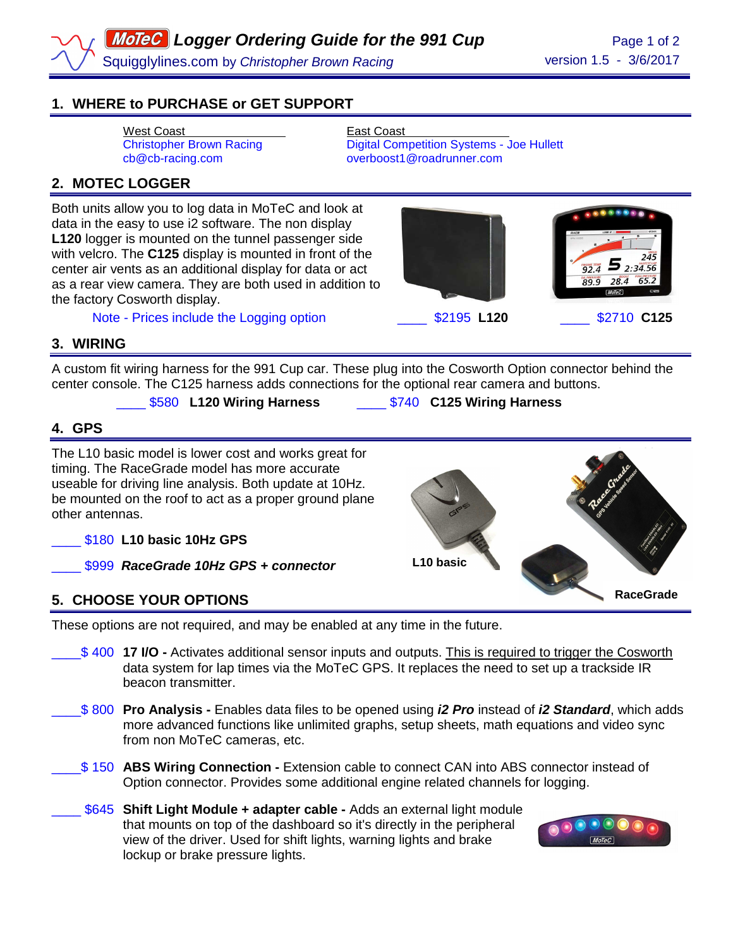# **1. WHERE to PURCHASE or GET SUPPORT**

West Coast<br>
Christopher Brown Racing<br>
Digital Com

Digital Competition Systems - Joe Hullett cb@cb-racing.com overboost1@roadrunner.com

### **2. MOTEC LOGGER**

Both units allow you to log data in MoTeC and look at data in the easy to use i2 software. The non display **L120** logger is mounted on the tunnel passenger side with velcro. The **C125** display is mounted in front of the center air vents as an additional display for data or act as a rear view camera. They are both used in addition to the factory Cosworth display.

Note - Prices include the Logging option \_\_\_\_ \$2195 **L120** \_\_\_\_ \$2710 **C125**



245

**RaceGrade** 

### **3. WIRING**

A custom fit wiring harness for the 991 Cup car. These plug into the Cosworth Option connector behind the center console. The C125 harness adds connections for the optional rear camera and buttons.

\_\_\_\_ \$580 **L120 Wiring Harness** \_\_\_\_ \$740 **C125 Wiring Harness** 

#### **4. GPS**

The L10 basic model is lower cost and works great for timing. The RaceGrade model has more accurate useable for driving line analysis. Both update at 10Hz. be mounted on the roof to act as a proper ground plane other antennas.

\_\_\_\_ \$180 **L10 basic 10Hz GPS** 

\_\_\_\_ \$999 **RaceGrade 10Hz GPS + connector** 

# **5. CHOOSE YOUR OPTIONS**

These options are not required, and may be enabled at any time in the future.

- \_\_\_\_\$ 400 **17 I/O** Activates additional sensor inputs and outputs. This is required to trigger the Cosworth data system for lap times via the MoTeC GPS. It replaces the need to set up a trackside IR beacon transmitter.
- \_\_\_\_\$ 800 **Pro Analysis** Enables data files to be opened using **i2 Pro** instead of **i2 Standard**, which adds more advanced functions like unlimited graphs, setup sheets, math equations and video sync from non MoTeC cameras, etc.
- \_\_\_\_\$ 150 **ABS Wiring Connection** Extension cable to connect CAN into ABS connector instead of Option connector. Provides some additional engine related channels for logging.
- **\$645 Shift Light Module + adapter cable -** Adds an external light module that mounts on top of the dashboard so it's directly in the peripheral view of the driver. Used for shift lights, warning lights and brake lockup or brake pressure lights.